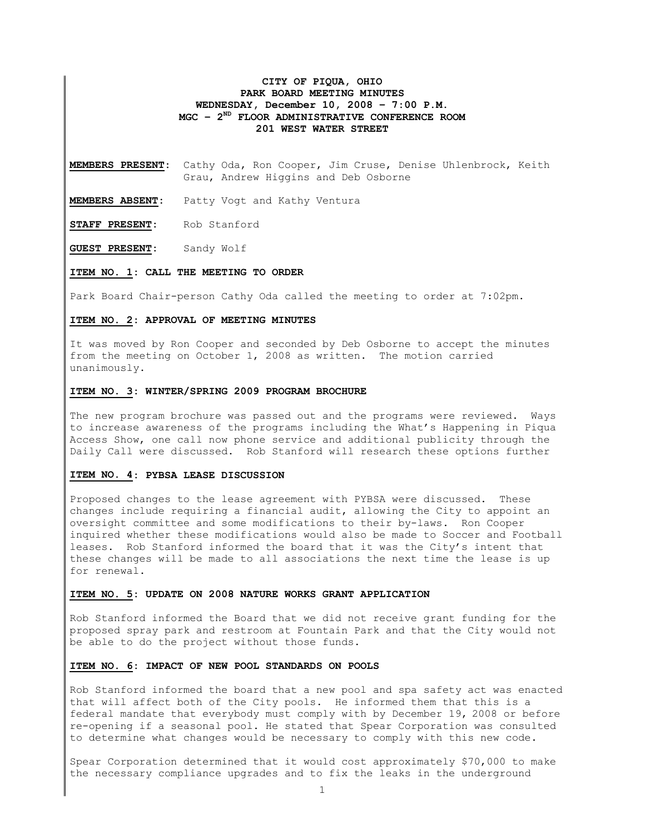## **CITY OF PIQUA, OHIO PARK BOARD MEETING MINUTES WEDNESDAY, December 10, 2008 – 7:00 P.M. MGC – 2ND FLOOR ADMINISTRATIVE CONFERENCE ROOM 201 WEST WATER STREET**

**MEMBERS PRESENT:** Cathy Oda, Ron Cooper, Jim Cruse, Denise Uhlenbrock, Keith Grau, Andrew Higgins and Deb Osborne

**MEMBERS ABSENT:** Patty Vogt and Kathy Ventura

**STAFF PRESENT:** Rob Stanford

**GUEST PRESENT:** Sandy Wolf

### **ITEM NO. 1: CALL THE MEETING TO ORDER**

Park Board Chair-person Cathy Oda called the meeting to order at 7:02pm.

### **ITEM NO. 2: APPROVAL OF MEETING MINUTES**

It was moved by Ron Cooper and seconded by Deb Osborne to accept the minutes from the meeting on October 1, 2008 as written. The motion carried unanimously.

#### **ITEM NO. 3: WINTER/SPRING 2009 PROGRAM BROCHURE**

The new program brochure was passed out and the programs were reviewed. Ways to increase awareness of the programs including the What's Happening in Piqua Access Show, one call now phone service and additional publicity through the Daily Call were discussed. Rob Stanford will research these options further

### **ITEM NO. 4: PYBSA LEASE DISCUSSION**

Proposed changes to the lease agreement with PYBSA were discussed. These changes include requiring a financial audit, allowing the City to appoint an oversight committee and some modifications to their by-laws. Ron Cooper inquired whether these modifications would also be made to Soccer and Football leases. Rob Stanford informed the board that it was the City's intent that these changes will be made to all associations the next time the lease is up for renewal.

#### **ITEM NO. 5: UPDATE ON 2008 NATURE WORKS GRANT APPLICATION**

Rob Stanford informed the Board that we did not receive grant funding for the proposed spray park and restroom at Fountain Park and that the City would not be able to do the project without those funds.

## **ITEM NO. 6: IMPACT OF NEW POOL STANDARDS ON POOLS**

Rob Stanford informed the board that a new pool and spa safety act was enacted that will affect both of the City pools. He informed them that this is a federal mandate that everybody must comply with by December 19, 2008 or before re-opening if a seasonal pool. He stated that Spear Corporation was consulted to determine what changes would be necessary to comply with this new code.

Spear Corporation determined that it would cost approximately \$70,000 to make the necessary compliance upgrades and to fix the leaks in the underground